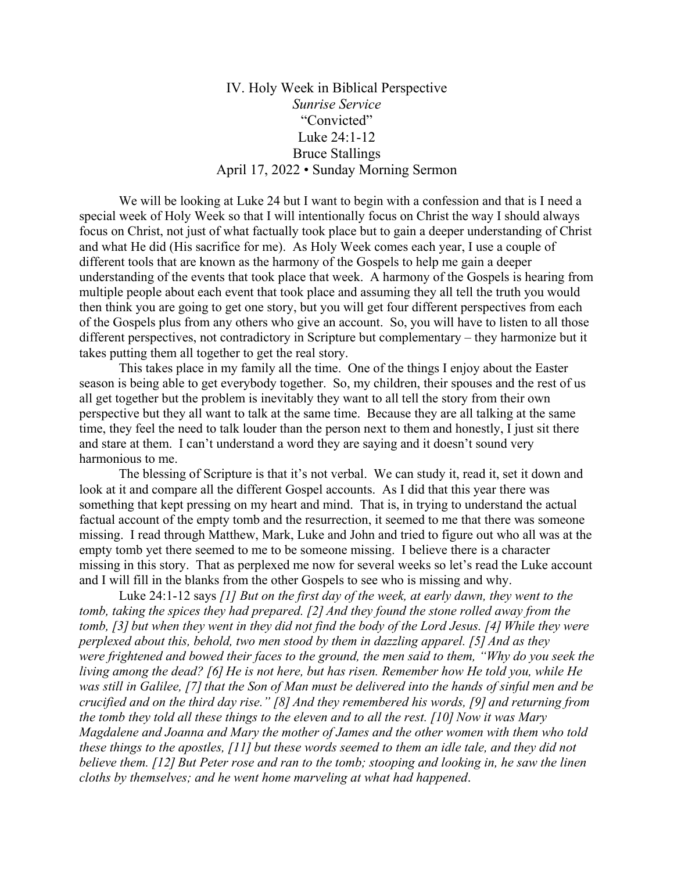## IV. Holy Week in Biblical Perspective *Sunrise Service* "Convicted" Luke 24:1-12 Bruce Stallings April 17, 2022 • Sunday Morning Sermon

We will be looking at Luke 24 but I want to begin with a confession and that is I need a special week of Holy Week so that I will intentionally focus on Christ the way I should always focus on Christ, not just of what factually took place but to gain a deeper understanding of Christ and what He did (His sacrifice for me). As Holy Week comes each year, I use a couple of different tools that are known as the harmony of the Gospels to help me gain a deeper understanding of the events that took place that week. A harmony of the Gospels is hearing from multiple people about each event that took place and assuming they all tell the truth you would then think you are going to get one story, but you will get four different perspectives from each of the Gospels plus from any others who give an account. So, you will have to listen to all those different perspectives, not contradictory in Scripture but complementary – they harmonize but it takes putting them all together to get the real story.

This takes place in my family all the time. One of the things I enjoy about the Easter season is being able to get everybody together. So, my children, their spouses and the rest of us all get together but the problem is inevitably they want to all tell the story from their own perspective but they all want to talk at the same time. Because they are all talking at the same time, they feel the need to talk louder than the person next to them and honestly, I just sit there and stare at them. I can't understand a word they are saying and it doesn't sound very harmonious to me.

 The blessing of Scripture is that it's not verbal. We can study it, read it, set it down and look at it and compare all the different Gospel accounts. As I did that this year there was something that kept pressing on my heart and mind. That is, in trying to understand the actual factual account of the empty tomb and the resurrection, it seemed to me that there was someone missing. I read through Matthew, Mark, Luke and John and tried to figure out who all was at the empty tomb yet there seemed to me to be someone missing. I believe there is a character missing in this story. That as perplexed me now for several weeks so let's read the Luke account and I will fill in the blanks from the other Gospels to see who is missing and why.

 Luke 24:1-12 says *[1] But on the first day of the week, at early dawn, they went to the tomb, taking the spices they had prepared. [2] And they found the stone rolled away from the tomb, [3] but when they went in they did not find the body of the Lord Jesus. [4] While they were perplexed about this, behold, two men stood by them in dazzling apparel. [5] And as they were frightened and bowed their faces to the ground, the men said to them, "Why do you seek the living among the dead? [6] He is not here, but has risen. Remember how He told you, while He was still in Galilee,* [7] that the Son of Man must be delivered into the hands of sinful men and be *crucified and on the third day rise." [8] And they remembered his words, [9] and returning from the tomb they told all these things to the eleven and to all the rest. [10] Now it was Mary Magdalene and Joanna and Mary the mother of James and the other women with them who told these things to the apostles, [11] but these words seemed to them an idle tale, and they did not believe them. [12] But Peter rose and ran to the tomb; stooping and looking in, he saw the linen cloths by themselves; and he went home marveling at what had happened*.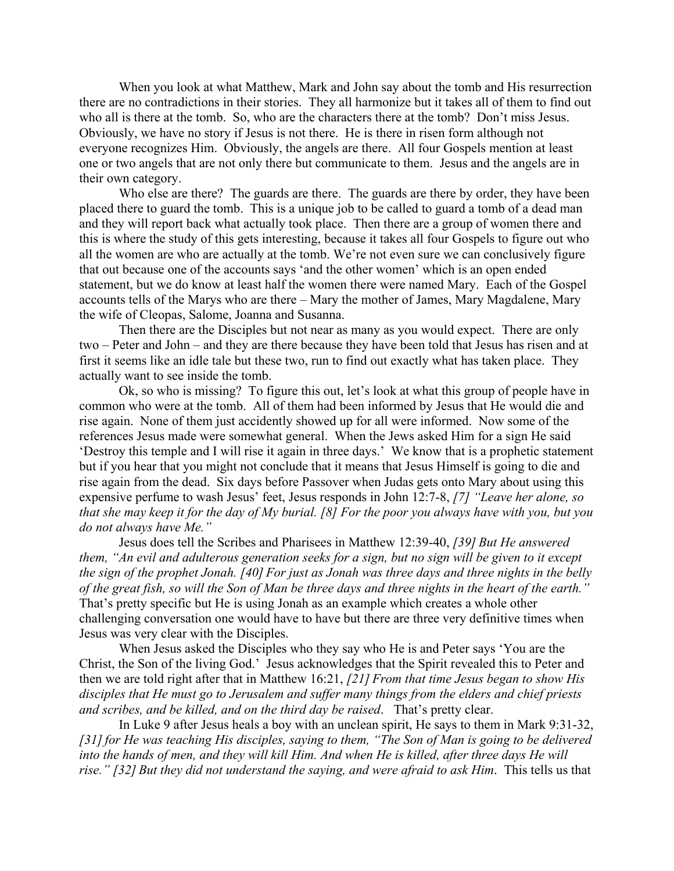When you look at what Matthew, Mark and John say about the tomb and His resurrection there are no contradictions in their stories. They all harmonize but it takes all of them to find out who all is there at the tomb. So, who are the characters there at the tomb? Don't miss Jesus. Obviously, we have no story if Jesus is not there. He is there in risen form although not everyone recognizes Him. Obviously, the angels are there. All four Gospels mention at least one or two angels that are not only there but communicate to them. Jesus and the angels are in their own category.

 Who else are there? The guards are there. The guards are there by order, they have been placed there to guard the tomb. This is a unique job to be called to guard a tomb of a dead man and they will report back what actually took place. Then there are a group of women there and this is where the study of this gets interesting, because it takes all four Gospels to figure out who all the women are who are actually at the tomb. We're not even sure we can conclusively figure that out because one of the accounts says 'and the other women' which is an open ended statement, but we do know at least half the women there were named Mary. Each of the Gospel accounts tells of the Marys who are there – Mary the mother of James, Mary Magdalene, Mary the wife of Cleopas, Salome, Joanna and Susanna.

Then there are the Disciples but not near as many as you would expect. There are only two – Peter and John – and they are there because they have been told that Jesus has risen and at first it seems like an idle tale but these two, run to find out exactly what has taken place. They actually want to see inside the tomb.

Ok, so who is missing? To figure this out, let's look at what this group of people have in common who were at the tomb. All of them had been informed by Jesus that He would die and rise again. None of them just accidently showed up for all were informed. Now some of the references Jesus made were somewhat general. When the Jews asked Him for a sign He said 'Destroy this temple and I will rise it again in three days.' We know that is a prophetic statement but if you hear that you might not conclude that it means that Jesus Himself is going to die and rise again from the dead. Six days before Passover when Judas gets onto Mary about using this expensive perfume to wash Jesus' feet, Jesus responds in John 12:7-8, *[7] "Leave her alone, so that she may keep it for the day of My burial. [8] For the poor you always have with you, but you do not always have Me."* 

Jesus does tell the Scribes and Pharisees in Matthew 12:39-40, *[39] But He answered them, "An evil and adulterous generation seeks for a sign, but no sign will be given to it except the sign of the prophet Jonah. [40] For just as Jonah was three days and three nights in the belly of the great fish, so will the Son of Man be three days and three nights in the heart of the earth."* That's pretty specific but He is using Jonah as an example which creates a whole other challenging conversation one would have to have but there are three very definitive times when Jesus was very clear with the Disciples.

When Jesus asked the Disciples who they say who He is and Peter says 'You are the Christ, the Son of the living God.' Jesus acknowledges that the Spirit revealed this to Peter and then we are told right after that in Matthew 16:21, *[21] From that time Jesus began to show His disciples that He must go to Jerusalem and suffer many things from the elders and chief priests and scribes, and be killed, and on the third day be raised*. That's pretty clear.

In Luke 9 after Jesus heals a boy with an unclean spirit, He says to them in Mark 9:31-32, *[31]for He was teaching His disciples, saying to them, "The Son of Man is going to be delivered into the hands of men, and they will kill Him. And when He is killed, after three days He will rise." [32] But they did not understand the saying, and were afraid to ask Him*. This tells us that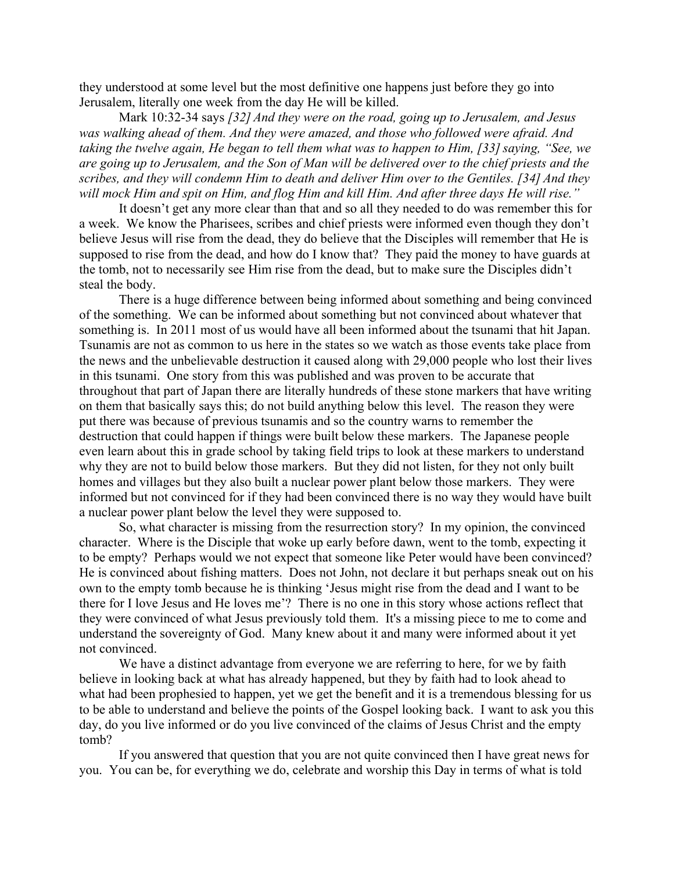they understood at some level but the most definitive one happens just before they go into Jerusalem, literally one week from the day He will be killed.

Mark 10:32-34 says *[32] And they were on the road, going up to Jerusalem, and Jesus was walking ahead of them. And they were amazed, and those who followed were afraid. And taking the twelve again, He began to tell them what was to happen to Him, [33] saying, "See, we are going up to Jerusalem, and the Son of Man will be delivered over to the chief priests and the scribes, and they will condemn Him to death and deliver Him over to the Gentiles. [34] And they will mock Him and spit on Him, and flog Him and kill Him. And after three days He will rise."*

It doesn't get any more clear than that and so all they needed to do was remember this for a week. We know the Pharisees, scribes and chief priests were informed even though they don't believe Jesus will rise from the dead, they do believe that the Disciples will remember that He is supposed to rise from the dead, and how do I know that? They paid the money to have guards at the tomb, not to necessarily see Him rise from the dead, but to make sure the Disciples didn't steal the body.

There is a huge difference between being informed about something and being convinced of the something. We can be informed about something but not convinced about whatever that something is. In 2011 most of us would have all been informed about the tsunami that hit Japan. Tsunamis are not as common to us here in the states so we watch as those events take place from the news and the unbelievable destruction it caused along with 29,000 people who lost their lives in this tsunami. One story from this was published and was proven to be accurate that throughout that part of Japan there are literally hundreds of these stone markers that have writing on them that basically says this; do not build anything below this level. The reason they were put there was because of previous tsunamis and so the country warns to remember the destruction that could happen if things were built below these markers. The Japanese people even learn about this in grade school by taking field trips to look at these markers to understand why they are not to build below those markers. But they did not listen, for they not only built homes and villages but they also built a nuclear power plant below those markers. They were informed but not convinced for if they had been convinced there is no way they would have built a nuclear power plant below the level they were supposed to.

So, what character is missing from the resurrection story? In my opinion, the convinced character. Where is the Disciple that woke up early before dawn, went to the tomb, expecting it to be empty? Perhaps would we not expect that someone like Peter would have been convinced? He is convinced about fishing matters. Does not John, not declare it but perhaps sneak out on his own to the empty tomb because he is thinking 'Jesus might rise from the dead and I want to be there for I love Jesus and He loves me'? There is no one in this story whose actions reflect that they were convinced of what Jesus previously told them. It's a missing piece to me to come and understand the sovereignty of God. Many knew about it and many were informed about it yet not convinced.

We have a distinct advantage from everyone we are referring to here, for we by faith believe in looking back at what has already happened, but they by faith had to look ahead to what had been prophesied to happen, yet we get the benefit and it is a tremendous blessing for us to be able to understand and believe the points of the Gospel looking back. I want to ask you this day, do you live informed or do you live convinced of the claims of Jesus Christ and the empty tomb?

If you answered that question that you are not quite convinced then I have great news for you. You can be, for everything we do, celebrate and worship this Day in terms of what is told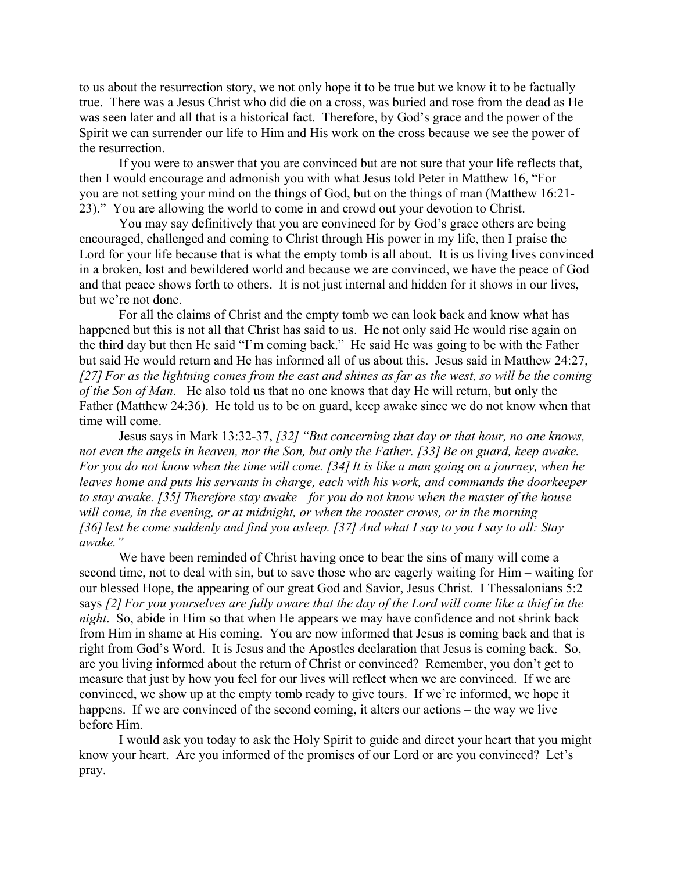to us about the resurrection story, we not only hope it to be true but we know it to be factually true. There was a Jesus Christ who did die on a cross, was buried and rose from the dead as He was seen later and all that is a historical fact. Therefore, by God's grace and the power of the Spirit we can surrender our life to Him and His work on the cross because we see the power of the resurrection.

If you were to answer that you are convinced but are not sure that your life reflects that, then I would encourage and admonish you with what Jesus told Peter in Matthew 16, "For you are not setting your mind on the things of God, but on the things of man (Matthew 16:21- 23)." You are allowing the world to come in and crowd out your devotion to Christ.

You may say definitively that you are convinced for by God's grace others are being encouraged, challenged and coming to Christ through His power in my life, then I praise the Lord for your life because that is what the empty tomb is all about. It is us living lives convinced in a broken, lost and bewildered world and because we are convinced, we have the peace of God and that peace shows forth to others. It is not just internal and hidden for it shows in our lives, but we're not done.

For all the claims of Christ and the empty tomb we can look back and know what has happened but this is not all that Christ has said to us. He not only said He would rise again on the third day but then He said "I'm coming back." He said He was going to be with the Father but said He would return and He has informed all of us about this. Jesus said in Matthew 24:27, *[27] For as the lightning comes from the east and shines as far as the west, so will be the coming of the Son of Man*. He also told us that no one knows that day He will return, but only the Father (Matthew 24:36). He told us to be on guard, keep awake since we do not know when that time will come.

Jesus says in Mark 13:32-37, *[32] "But concerning that day or that hour, no one knows, not even the angels in heaven, nor the Son, but only the Father. [33] Be on guard, keep awake. For you do not know when the time will come. [34]It is like a man going on a journey, when he leaves home and puts his servants in charge, each with his work, and commands the doorkeeper to stay awake. [35] Therefore stay awake—for you do not know when the master of the house will come, in the evening, or at midnight, or when the rooster crows, or in the morning— [36]lest he come suddenly and find you asleep. [37] And what I say to you I say to all: Stay awake."* 

 We have been reminded of Christ having once to bear the sins of many will come a second time, not to deal with sin, but to save those who are eagerly waiting for Him – waiting for our blessed Hope, the appearing of our great God and Savior, Jesus Christ. I Thessalonians 5:2 says *[2] For you yourselves are fully aware that the day of the Lord will come like a thief in the night*. So, abide in Him so that when He appears we may have confidence and not shrink back from Him in shame at His coming. You are now informed that Jesus is coming back and that is right from God's Word. It is Jesus and the Apostles declaration that Jesus is coming back. So, are you living informed about the return of Christ or convinced? Remember, you don't get to measure that just by how you feel for our lives will reflect when we are convinced. If we are convinced, we show up at the empty tomb ready to give tours. If we're informed, we hope it happens. If we are convinced of the second coming, it alters our actions – the way we live before Him.

 I would ask you today to ask the Holy Spirit to guide and direct your heart that you might know your heart. Are you informed of the promises of our Lord or are you convinced? Let's pray.